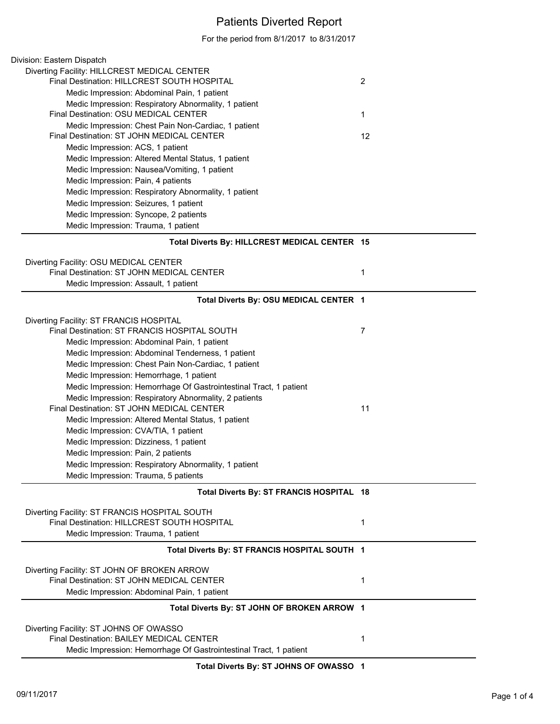## Patients Diverted Report

For the period from 8/1/2017 to 8/31/2017

| Division: Eastern Dispatch                                                                   |                |
|----------------------------------------------------------------------------------------------|----------------|
| Diverting Facility: HILLCREST MEDICAL CENTER                                                 |                |
| Final Destination: HILLCREST SOUTH HOSPITAL                                                  | $\overline{2}$ |
| Medic Impression: Abdominal Pain, 1 patient                                                  |                |
| Medic Impression: Respiratory Abnormality, 1 patient                                         |                |
| Final Destination: OSU MEDICAL CENTER                                                        | 1              |
| Medic Impression: Chest Pain Non-Cardiac, 1 patient                                          |                |
| Final Destination: ST JOHN MEDICAL CENTER                                                    | 12             |
| Medic Impression: ACS, 1 patient                                                             |                |
| Medic Impression: Altered Mental Status, 1 patient                                           |                |
| Medic Impression: Nausea/Vomiting, 1 patient                                                 |                |
| Medic Impression: Pain, 4 patients                                                           |                |
| Medic Impression: Respiratory Abnormality, 1 patient                                         |                |
| Medic Impression: Seizures, 1 patient                                                        |                |
| Medic Impression: Syncope, 2 patients                                                        |                |
| Medic Impression: Trauma, 1 patient                                                          |                |
| Total Diverts By: HILLCREST MEDICAL CENTER 15                                                |                |
|                                                                                              |                |
| Diverting Facility: OSU MEDICAL CENTER                                                       |                |
| Final Destination: ST JOHN MEDICAL CENTER                                                    | 1              |
| Medic Impression: Assault, 1 patient                                                         |                |
| Total Diverts By: OSU MEDICAL CENTER 1                                                       |                |
| Diverting Facility: ST FRANCIS HOSPITAL                                                      |                |
| Final Destination: ST FRANCIS HOSPITAL SOUTH                                                 | 7              |
| Medic Impression: Abdominal Pain, 1 patient                                                  |                |
| Medic Impression: Abdominal Tenderness, 1 patient                                            |                |
| Medic Impression: Chest Pain Non-Cardiac, 1 patient                                          |                |
| Medic Impression: Hemorrhage, 1 patient                                                      |                |
| Medic Impression: Hemorrhage Of Gastrointestinal Tract, 1 patient                            |                |
| Medic Impression: Respiratory Abnormality, 2 patients                                        |                |
| Final Destination: ST JOHN MEDICAL CENTER                                                    | 11             |
| Medic Impression: Altered Mental Status, 1 patient                                           |                |
| Medic Impression: CVA/TIA, 1 patient                                                         |                |
| Medic Impression: Dizziness, 1 patient                                                       |                |
| Medic Impression: Pain, 2 patients                                                           |                |
| Medic Impression: Respiratory Abnormality, 1 patient                                         |                |
| Medic Impression: Trauma, 5 patients                                                         |                |
| Total Diverts By: ST FRANCIS HOSPITAL 18                                                     |                |
|                                                                                              |                |
| Diverting Facility: ST FRANCIS HOSPITAL SOUTH<br>Final Destination: HILLCREST SOUTH HOSPITAL | 1              |
|                                                                                              |                |
| Medic Impression: Trauma, 1 patient                                                          |                |
| Total Diverts By: ST FRANCIS HOSPITAL SOUTH 1                                                |                |
| Diverting Facility: ST JOHN OF BROKEN ARROW                                                  |                |
| Final Destination: ST JOHN MEDICAL CENTER                                                    | 1              |
| Medic Impression: Abdominal Pain, 1 patient                                                  |                |
| Total Diverts By: ST JOHN OF BROKEN ARROW 1                                                  |                |
| Diverting Facility: ST JOHNS OF OWASSO                                                       |                |
| Final Destination: BAILEY MEDICAL CENTER                                                     | 1              |
| Medic Impression: Hemorrhage Of Gastrointestinal Tract, 1 patient                            |                |

**Total Diverts By: ST JOHNS OF OWASSO 1**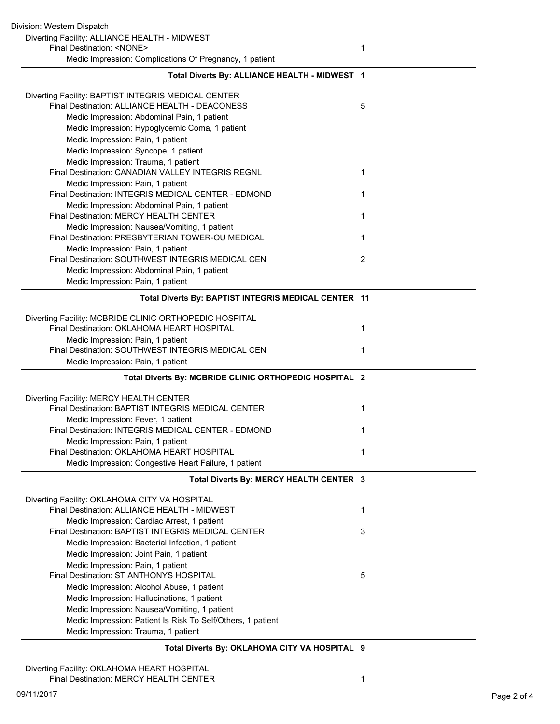| Division: Western Dispatch                                                                                  |   |
|-------------------------------------------------------------------------------------------------------------|---|
| Diverting Facility: ALLIANCE HEALTH - MIDWEST                                                               |   |
| Final Destination: <none></none>                                                                            | 1 |
| Medic Impression: Complications Of Pregnancy, 1 patient                                                     |   |
| Total Diverts By: ALLIANCE HEALTH - MIDWEST 1                                                               |   |
| Diverting Facility: BAPTIST INTEGRIS MEDICAL CENTER                                                         |   |
| Final Destination: ALLIANCE HEALTH - DEACONESS                                                              | 5 |
| Medic Impression: Abdominal Pain, 1 patient                                                                 |   |
| Medic Impression: Hypoglycemic Coma, 1 patient<br>Medic Impression: Pain, 1 patient                         |   |
| Medic Impression: Syncope, 1 patient                                                                        |   |
| Medic Impression: Trauma, 1 patient                                                                         |   |
| Final Destination: CANADIAN VALLEY INTEGRIS REGNL                                                           | 1 |
| Medic Impression: Pain, 1 patient                                                                           |   |
| Final Destination: INTEGRIS MEDICAL CENTER - EDMOND                                                         | 1 |
| Medic Impression: Abdominal Pain, 1 patient                                                                 |   |
| Final Destination: MERCY HEALTH CENTER                                                                      | 1 |
| Medic Impression: Nausea/Vomiting, 1 patient                                                                |   |
| Final Destination: PRESBYTERIAN TOWER-OU MEDICAL                                                            | 1 |
| Medic Impression: Pain, 1 patient                                                                           |   |
| Final Destination: SOUTHWEST INTEGRIS MEDICAL CEN                                                           | 2 |
| Medic Impression: Abdominal Pain, 1 patient                                                                 |   |
| Medic Impression: Pain, 1 patient                                                                           |   |
| Total Diverts By: BAPTIST INTEGRIS MEDICAL CENTER 11                                                        |   |
| Diverting Facility: MCBRIDE CLINIC ORTHOPEDIC HOSPITAL                                                      |   |
| Final Destination: OKLAHOMA HEART HOSPITAL                                                                  | 1 |
| Medic Impression: Pain, 1 patient                                                                           |   |
| Final Destination: SOUTHWEST INTEGRIS MEDICAL CEN                                                           | 1 |
| Medic Impression: Pain, 1 patient                                                                           |   |
| Total Diverts By: MCBRIDE CLINIC ORTHOPEDIC HOSPITAL 2                                                      |   |
| Diverting Facility: MERCY HEALTH CENTER                                                                     |   |
| Final Destination: BAPTIST INTEGRIS MEDICAL CENTER                                                          | 1 |
| Medic Impression: Fever, 1 patient                                                                          |   |
| Final Destination: INTEGRIS MEDICAL CENTER - EDMOND                                                         | 1 |
| Medic Impression: Pain, 1 patient                                                                           |   |
| Final Destination: OKLAHOMA HEART HOSPITAL                                                                  | 1 |
| Medic Impression: Congestive Heart Failure, 1 patient                                                       |   |
| Total Diverts By: MERCY HEALTH CENTER 3                                                                     |   |
| Diverting Facility: OKLAHOMA CITY VA HOSPITAL                                                               |   |
| Final Destination: ALLIANCE HEALTH - MIDWEST                                                                | 1 |
| Medic Impression: Cardiac Arrest, 1 patient                                                                 |   |
| Final Destination: BAPTIST INTEGRIS MEDICAL CENTER                                                          | 3 |
| Medic Impression: Bacterial Infection, 1 patient                                                            |   |
| Medic Impression: Joint Pain, 1 patient<br>Medic Impression: Pain, 1 patient                                |   |
|                                                                                                             |   |
|                                                                                                             |   |
| Final Destination: ST ANTHONYS HOSPITAL                                                                     | 5 |
| Medic Impression: Alcohol Abuse, 1 patient                                                                  |   |
| Medic Impression: Hallucinations, 1 patient                                                                 |   |
| Medic Impression: Nausea/Vomiting, 1 patient<br>Medic Impression: Patient Is Risk To Self/Others, 1 patient |   |

## **Total Diverts By: OKLAHOMA CITY VA HOSPITAL 9**

Diverting Facility: OKLAHOMA HEART HOSPITAL Final Destination: MERCY HEALTH CENTER 1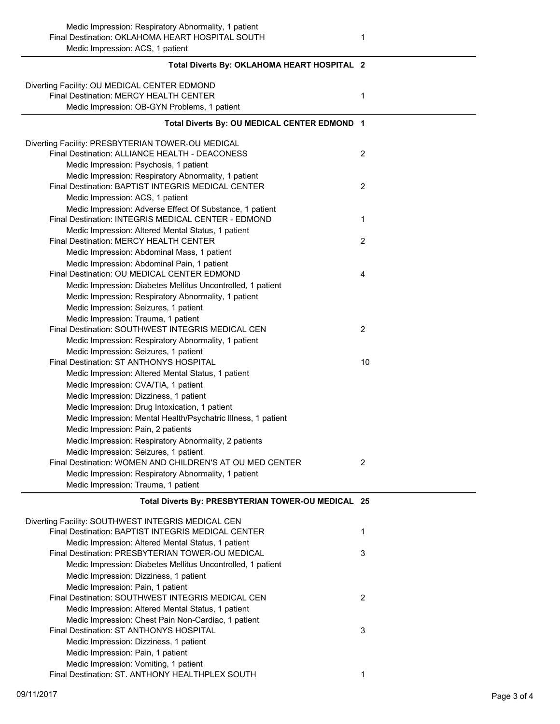| Total Diverts By: OKLAHOMA HEART HOSPITAL 2                                                                                            |                |
|----------------------------------------------------------------------------------------------------------------------------------------|----------------|
| Diverting Facility: OU MEDICAL CENTER EDMOND<br>Final Destination: MERCY HEALTH CENTER<br>Medic Impression: OB-GYN Problems, 1 patient | 1              |
| Total Diverts By: OU MEDICAL CENTER EDMOND 1                                                                                           |                |
| Diverting Facility: PRESBYTERIAN TOWER-OU MEDICAL                                                                                      |                |
| Final Destination: ALLIANCE HEALTH - DEACONESS                                                                                         | $\overline{c}$ |
| Medic Impression: Psychosis, 1 patient                                                                                                 |                |
| Medic Impression: Respiratory Abnormality, 1 patient                                                                                   |                |
| Final Destination: BAPTIST INTEGRIS MEDICAL CENTER                                                                                     | 2              |
| Medic Impression: ACS, 1 patient                                                                                                       |                |
| Medic Impression: Adverse Effect Of Substance, 1 patient                                                                               |                |
| Final Destination: INTEGRIS MEDICAL CENTER - EDMOND                                                                                    | 1              |
| Medic Impression: Altered Mental Status, 1 patient                                                                                     |                |
| Final Destination: MERCY HEALTH CENTER                                                                                                 | $\overline{2}$ |
| Medic Impression: Abdominal Mass, 1 patient                                                                                            |                |
| Medic Impression: Abdominal Pain, 1 patient                                                                                            |                |
| Final Destination: OU MEDICAL CENTER EDMOND                                                                                            | 4              |
| Medic Impression: Diabetes Mellitus Uncontrolled, 1 patient                                                                            |                |
| Medic Impression: Respiratory Abnormality, 1 patient                                                                                   |                |
| Medic Impression: Seizures, 1 patient                                                                                                  |                |
| Medic Impression: Trauma, 1 patient                                                                                                    |                |
| Final Destination: SOUTHWEST INTEGRIS MEDICAL CEN                                                                                      | 2              |
| Medic Impression: Respiratory Abnormality, 1 patient                                                                                   |                |
| Medic Impression: Seizures, 1 patient                                                                                                  |                |
| Final Destination: ST ANTHONYS HOSPITAL                                                                                                | 10             |
| Medic Impression: Altered Mental Status, 1 patient                                                                                     |                |
| Medic Impression: CVA/TIA, 1 patient                                                                                                   |                |
| Medic Impression: Dizziness, 1 patient                                                                                                 |                |
| Medic Impression: Drug Intoxication, 1 patient                                                                                         |                |
| Medic Impression: Mental Health/Psychatric Illness, 1 patient                                                                          |                |
| Medic Impression: Pain, 2 patients                                                                                                     |                |
| Medic Impression: Respiratory Abnormality, 2 patients                                                                                  |                |
| Medic Impression: Seizures, 1 patient<br>Final Destination: WOMEN AND CHILDREN'S AT OU MED CENTER                                      |                |
| Medic Impression: Respiratory Abnormality, 1 patient                                                                                   | 2              |
| Medic Impression: Trauma, 1 patient                                                                                                    |                |
|                                                                                                                                        |                |
| Total Diverts By: PRESBYTERIAN TOWER-OU MEDICAL 25                                                                                     |                |
|                                                                                                                                        |                |
| Diverting Facility: SOUTHWEST INTEGRIS MEDICAL CEN<br>Final Destination: BAPTIST INTEGRIS MEDICAL CENTER                               | 1              |
| Medic Impression: Altered Mental Status, 1 patient                                                                                     |                |
| Final Destination: PRESBYTERIAN TOWER-OU MEDICAL                                                                                       | 3              |
| Medic Impression: Diabetes Mellitus Uncontrolled, 1 patient                                                                            |                |
| Medic Impression: Dizziness, 1 patient                                                                                                 |                |
| Medic Impression: Pain, 1 patient                                                                                                      |                |
| Final Destination: SOUTHWEST INTEGRIS MEDICAL CEN                                                                                      | $\overline{2}$ |
| Medic Impression: Altered Mental Status, 1 patient                                                                                     |                |

| DIVOI (III) I QUIII(V. OOO ITTIVILOT TINTLOI NIO IVILDIOAL OLIN |   |
|-----------------------------------------------------------------|---|
| Final Destination: BAPTIST INTEGRIS MEDICAL CENTER              |   |
| Medic Impression: Altered Mental Status, 1 patient              |   |
| Final Destination: PRESBYTERIAN TOWER-OU MEDICAL                | 3 |
| Medic Impression: Diabetes Mellitus Uncontrolled, 1 patient     |   |
| Medic Impression: Dizziness, 1 patient                          |   |
| Medic Impression: Pain, 1 patient                               |   |
| Final Destination: SOUTHWEST INTEGRIS MEDICAL CEN               | 2 |
| Medic Impression: Altered Mental Status, 1 patient              |   |
| Medic Impression: Chest Pain Non-Cardiac, 1 patient             |   |
| Final Destination: ST ANTHONYS HOSPITAL                         | 3 |
| Medic Impression: Dizziness, 1 patient                          |   |
| Medic Impression: Pain, 1 patient                               |   |
| Medic Impression: Vomiting, 1 patient                           |   |
| Final Destination: ST. ANTHONY HEALTHPLEX SOUTH                 |   |
|                                                                 |   |